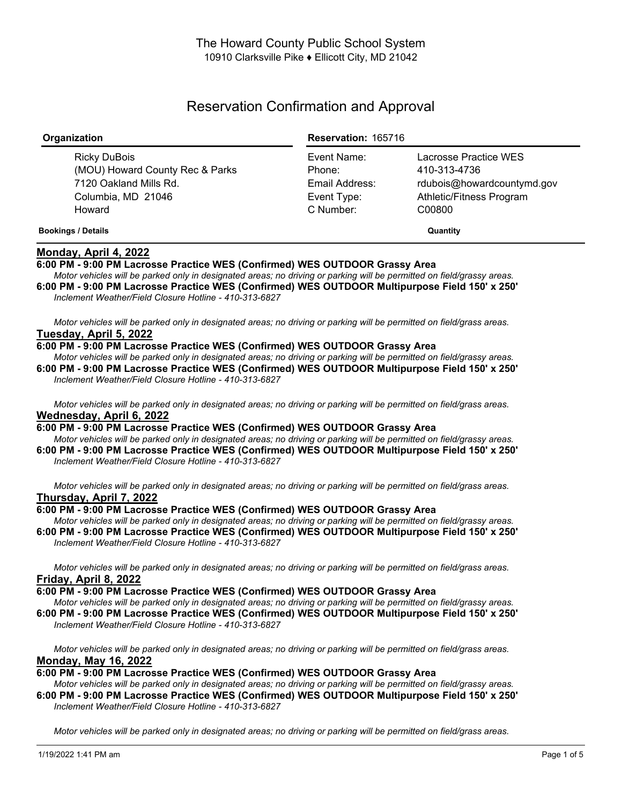# Reservation Confirmation and Approval

| Organization                                                                                              | <b>Reservation: 165716</b>                                          |                                                                                                           |
|-----------------------------------------------------------------------------------------------------------|---------------------------------------------------------------------|-----------------------------------------------------------------------------------------------------------|
| Ricky DuBois<br>(MOU) Howard County Rec & Parks<br>7120 Oakland Mills Rd.<br>Columbia, MD 21046<br>Howard | Event Name:<br>Phone:<br>Email Address:<br>Event Type:<br>C Number: | Lacrosse Practice WES<br>410-313-4736<br>rdubois@howardcountymd.gov<br>Athletic/Fitness Program<br>C00800 |
| <b>Bookings / Details</b>                                                                                 |                                                                     | Quantity                                                                                                  |

# **Monday, April 4, 2022**

# **6:00 PM - 9:00 PM Lacrosse Practice WES (Confirmed) WES OUTDOOR Grassy Area**

Motor vehicles will be parked only in designated areas; no driving or parking will be permitted on field/grassy areas. **6:00 PM - 9:00 PM Lacrosse Practice WES (Confirmed) WES OUTDOOR Multipurpose Field 150' x 250'** *Inclement Weather/Field Closure Hotline - 410-313-6827*

Motor vehicles will be parked only in designated areas; no driving or parking will be permitted on field/grass areas. **Tuesday, April 5, 2022**

#### **6:00 PM - 9:00 PM Lacrosse Practice WES (Confirmed) WES OUTDOOR Grassy Area**

Motor vehicles will be parked only in designated areas; no driving or parking will be permitted on field/grassy areas. **6:00 PM - 9:00 PM Lacrosse Practice WES (Confirmed) WES OUTDOOR Multipurpose Field 150' x 250'** *Inclement Weather/Field Closure Hotline - 410-313-6827*

Motor vehicles will be parked only in designated areas; no driving or parking will be permitted on field/grass areas. **Wednesday, April 6, 2022**

**6:00 PM - 9:00 PM Lacrosse Practice WES (Confirmed) WES OUTDOOR Grassy Area**

Motor vehicles will be parked only in designated areas; no driving or parking will be permitted on field/grassy areas. **6:00 PM - 9:00 PM Lacrosse Practice WES (Confirmed) WES OUTDOOR Multipurpose Field 150' x 250'** *Inclement Weather/Field Closure Hotline - 410-313-6827*

Motor vehicles will be parked only in designated areas; no driving or parking will be permitted on field/grass areas. **Thursday, April 7, 2022**

#### **6:00 PM - 9:00 PM Lacrosse Practice WES (Confirmed) WES OUTDOOR Grassy Area**

Motor vehicles will be parked only in designated areas; no driving or parking will be permitted on field/grassy areas. **6:00 PM - 9:00 PM Lacrosse Practice WES (Confirmed) WES OUTDOOR Multipurpose Field 150' x 250'** *Inclement Weather/Field Closure Hotline - 410-313-6827*

Motor vehicles will be parked only in designated areas; no driving or parking will be permitted on field/grass areas. **Friday, April 8, 2022**

**6:00 PM - 9:00 PM Lacrosse Practice WES (Confirmed) WES OUTDOOR Grassy Area**

Motor vehicles will be parked only in designated areas; no driving or parking will be permitted on field/grassy areas.

**6:00 PM - 9:00 PM Lacrosse Practice WES (Confirmed) WES OUTDOOR Multipurpose Field 150' x 250'** *Inclement Weather/Field Closure Hotline - 410-313-6827*

Motor vehicles will be parked only in designated areas; no driving or parking will be permitted on field/grass areas. **Monday, May 16, 2022**

#### **6:00 PM - 9:00 PM Lacrosse Practice WES (Confirmed) WES OUTDOOR Grassy Area**

Motor vehicles will be parked only in designated areas; no driving or parking will be permitted on field/grassy areas. **6:00 PM - 9:00 PM Lacrosse Practice WES (Confirmed) WES OUTDOOR Multipurpose Field 150' x 250'** *Inclement Weather/Field Closure Hotline - 410-313-6827*

Motor vehicles will be parked only in designated areas; no driving or parking will be permitted on field/grass areas.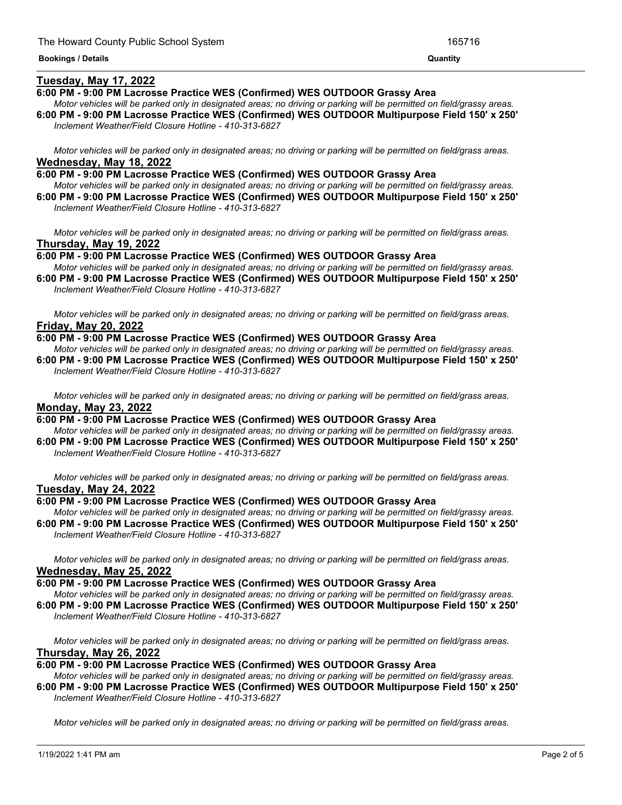**Bookings / Details Quantity**

## **Tuesday, May 17, 2022**

#### **6:00 PM - 9:00 PM Lacrosse Practice WES (Confirmed) WES OUTDOOR Grassy Area**

Motor vehicles will be parked only in designated areas; no driving or parking will be permitted on field/grassy areas. **6:00 PM - 9:00 PM Lacrosse Practice WES (Confirmed) WES OUTDOOR Multipurpose Field 150' x 250'** *Inclement Weather/Field Closure Hotline - 410-313-6827*

<u> 1989 - Andrea Andrew Maria (h. 1989).</u>

Motor vehicles will be parked only in designated areas; no driving or parking will be permitted on field/grass areas. **Wednesday, May 18, 2022**

**6:00 PM - 9:00 PM Lacrosse Practice WES (Confirmed) WES OUTDOOR Grassy Area** Motor vehicles will be parked only in designated areas; no driving or parking will be permitted on field/grassy areas.

**6:00 PM - 9:00 PM Lacrosse Practice WES (Confirmed) WES OUTDOOR Multipurpose Field 150' x 250'** *Inclement Weather/Field Closure Hotline - 410-313-6827*

Motor vehicles will be parked only in designated areas; no driving or parking will be permitted on field/grass areas. **Thursday, May 19, 2022**

**6:00 PM - 9:00 PM Lacrosse Practice WES (Confirmed) WES OUTDOOR Grassy Area**

Motor vehicles will be parked only in designated areas; no driving or parking will be permitted on field/grassy areas. **6:00 PM - 9:00 PM Lacrosse Practice WES (Confirmed) WES OUTDOOR Multipurpose Field 150' x 250'**

*Inclement Weather/Field Closure Hotline - 410-313-6827*

Motor vehicles will be parked only in designated areas; no driving or parking will be permitted on field/grass areas. **Friday, May 20, 2022**

**6:00 PM - 9:00 PM Lacrosse Practice WES (Confirmed) WES OUTDOOR Grassy Area**

Motor vehicles will be parked only in designated areas; no driving or parking will be permitted on field/grassy areas. **6:00 PM - 9:00 PM Lacrosse Practice WES (Confirmed) WES OUTDOOR Multipurpose Field 150' x 250'** *Inclement Weather/Field Closure Hotline - 410-313-6827*

Motor vehicles will be parked only in designated areas; no driving or parking will be permitted on field/grass areas. **Monday, May 23, 2022**

**6:00 PM - 9:00 PM Lacrosse Practice WES (Confirmed) WES OUTDOOR Grassy Area**

Motor vehicles will be parked only in designated areas; no driving or parking will be permitted on field/grassy areas. **6:00 PM - 9:00 PM Lacrosse Practice WES (Confirmed) WES OUTDOOR Multipurpose Field 150' x 250'** *Inclement Weather/Field Closure Hotline - 410-313-6827*

Motor vehicles will be parked only in designated areas; no driving or parking will be permitted on field/grass areas. **Tuesday, May 24, 2022**

#### **6:00 PM - 9:00 PM Lacrosse Practice WES (Confirmed) WES OUTDOOR Grassy Area**

Motor vehicles will be parked only in designated areas; no driving or parking will be permitted on field/grassy areas. **6:00 PM - 9:00 PM Lacrosse Practice WES (Confirmed) WES OUTDOOR Multipurpose Field 150' x 250'** *Inclement Weather/Field Closure Hotline - 410-313-6827*

Motor vehicles will be parked only in designated areas; no driving or parking will be permitted on field/grass areas. **Wednesday, May 25, 2022**

#### **6:00 PM - 9:00 PM Lacrosse Practice WES (Confirmed) WES OUTDOOR Grassy Area**

Motor vehicles will be parked only in designated areas; no driving or parking will be permitted on field/grassy areas. **6:00 PM - 9:00 PM Lacrosse Practice WES (Confirmed) WES OUTDOOR Multipurpose Field 150' x 250'** *Inclement Weather/Field Closure Hotline - 410-313-6827*

Motor vehicles will be parked only in designated areas; no driving or parking will be permitted on field/grass areas. **Thursday, May 26, 2022**

**6:00 PM - 9:00 PM Lacrosse Practice WES (Confirmed) WES OUTDOOR Grassy Area**

Motor vehicles will be parked only in designated areas; no driving or parking will be permitted on field/grassy areas. **6:00 PM - 9:00 PM Lacrosse Practice WES (Confirmed) WES OUTDOOR Multipurpose Field 150' x 250'** *Inclement Weather/Field Closure Hotline - 410-313-6827*

Motor vehicles will be parked only in designated areas; no driving or parking will be permitted on field/grass areas.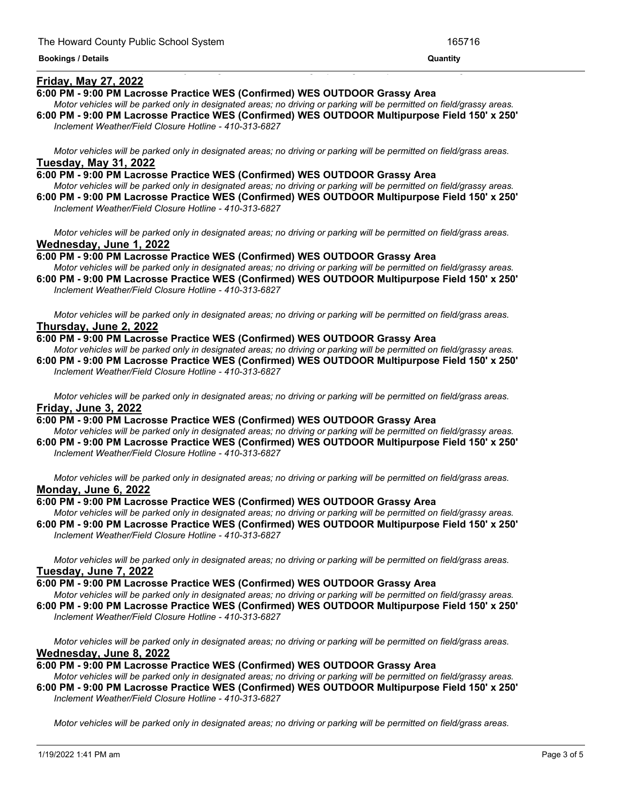**Bookings / Details Quantity**

### **Friday, May 27, 2022**

#### **6:00 PM - 9:00 PM Lacrosse Practice WES (Confirmed) WES OUTDOOR Grassy Area**

Motor vehicles will be parked only in designated areas; no driving or parking will be permitted on field/grassy areas. **6:00 PM - 9:00 PM Lacrosse Practice WES (Confirmed) WES OUTDOOR Multipurpose Field 150' x 250'**

<u> 1999 - Jan James James James James James James James James James James James James James James James James J</u>

*Inclement Weather/Field Closure Hotline - 410-313-6827*

Motor vehicles will be parked only in designated areas; no driving or parking will be permitted on field/grass areas. **Tuesday, May 31, 2022**

**6:00 PM - 9:00 PM Lacrosse Practice WES (Confirmed) WES OUTDOOR Grassy Area** Motor vehicles will be parked only in designated areas; no driving or parking will be permitted on field/grassy areas.

**6:00 PM - 9:00 PM Lacrosse Practice WES (Confirmed) WES OUTDOOR Multipurpose Field 150' x 250'** *Inclement Weather/Field Closure Hotline - 410-313-6827*

Motor vehicles will be parked only in designated areas; no driving or parking will be permitted on field/grass areas. **Wednesday, June 1, 2022**

**6:00 PM - 9:00 PM Lacrosse Practice WES (Confirmed) WES OUTDOOR Grassy Area**

Motor vehicles will be parked only in designated areas; no driving or parking will be permitted on field/grassy areas. **6:00 PM - 9:00 PM Lacrosse Practice WES (Confirmed) WES OUTDOOR Multipurpose Field 150' x 250'**

*Inclement Weather/Field Closure Hotline - 410-313-6827*

Motor vehicles will be parked only in designated areas; no driving or parking will be permitted on field/grass areas. **Thursday, June 2, 2022**

#### **6:00 PM - 9:00 PM Lacrosse Practice WES (Confirmed) WES OUTDOOR Grassy Area**

Motor vehicles will be parked only in designated areas; no driving or parking will be permitted on field/grassy areas. **6:00 PM - 9:00 PM Lacrosse Practice WES (Confirmed) WES OUTDOOR Multipurpose Field 150' x 250'** *Inclement Weather/Field Closure Hotline - 410-313-6827*

Motor vehicles will be parked only in designated areas; no driving or parking will be permitted on field/grass areas. **Friday, June 3, 2022**

#### **6:00 PM - 9:00 PM Lacrosse Practice WES (Confirmed) WES OUTDOOR Grassy Area**

Motor vehicles will be parked only in designated areas; no driving or parking will be permitted on field/grassy areas. **6:00 PM - 9:00 PM Lacrosse Practice WES (Confirmed) WES OUTDOOR Multipurpose Field 150' x 250'** *Inclement Weather/Field Closure Hotline - 410-313-6827*

Motor vehicles will be parked only in designated areas; no driving or parking will be permitted on field/grass areas. **Monday, June 6, 2022**

#### **6:00 PM - 9:00 PM Lacrosse Practice WES (Confirmed) WES OUTDOOR Grassy Area**

Motor vehicles will be parked only in designated areas; no driving or parking will be permitted on field/grassy areas. **6:00 PM - 9:00 PM Lacrosse Practice WES (Confirmed) WES OUTDOOR Multipurpose Field 150' x 250'** *Inclement Weather/Field Closure Hotline - 410-313-6827*

Motor vehicles will be parked only in designated areas; no driving or parking will be permitted on field/grass areas. **Tuesday, June 7, 2022**

#### **6:00 PM - 9:00 PM Lacrosse Practice WES (Confirmed) WES OUTDOOR Grassy Area**

Motor vehicles will be parked only in designated areas; no driving or parking will be permitted on field/grassy areas. **6:00 PM - 9:00 PM Lacrosse Practice WES (Confirmed) WES OUTDOOR Multipurpose Field 150' x 250'** *Inclement Weather/Field Closure Hotline - 410-313-6827*

Motor vehicles will be parked only in designated areas; no driving or parking will be permitted on field/grass areas. **Wednesday, June 8, 2022**

#### **6:00 PM - 9:00 PM Lacrosse Practice WES (Confirmed) WES OUTDOOR Grassy Area**

Motor vehicles will be parked only in designated areas; no driving or parking will be permitted on field/grassy areas. **6:00 PM - 9:00 PM Lacrosse Practice WES (Confirmed) WES OUTDOOR Multipurpose Field 150' x 250'** *Inclement Weather/Field Closure Hotline - 410-313-6827*

Motor vehicles will be parked only in designated areas; no driving or parking will be permitted on field/grass areas.